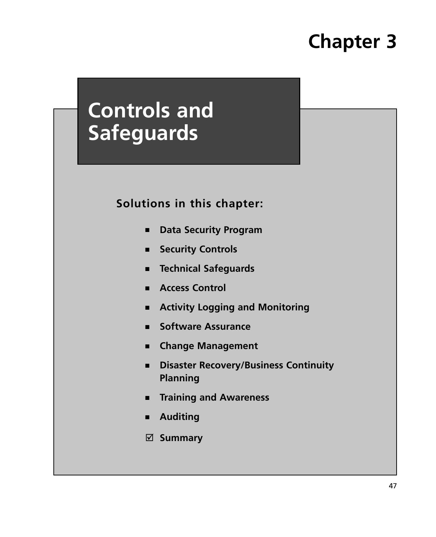# **Chapter 3**

# **Controls and Safeguards**

#### **Solutions in this chapter:**

- **Data Security Program**
- ■ **Security Controls**
- ■ **Technical Safeguards**
- ■ **Access Control**
- **Activity Logging and Monitoring**
- ■ **Software Assurance**
- Change Management
- ■ **Disaster Recovery/Business Continuity Planning**
- ■ **Training and Awareness**
- ■ **Auditing**
- ˛ **Summary**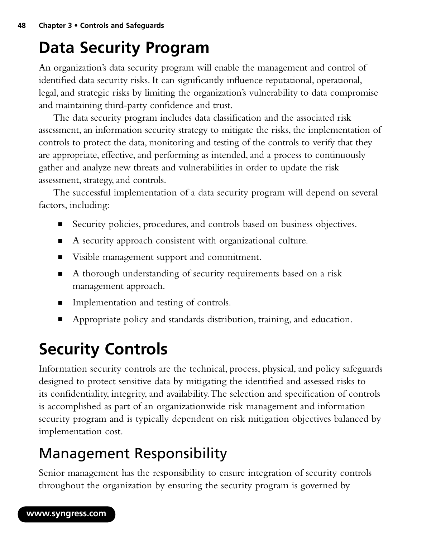## **Data Security Program**

An organization's data security program will enable the management and control of identified data security risks. It can significantly influence reputational, operational, legal, and strategic risks by limiting the organization's vulnerability to data compromise and maintaining third-party confidence and trust.

The data security program includes data classification and the associated risk assessment, an information security strategy to mitigate the risks, the implementation of controls to protect the data, monitoring and testing of the controls to verify that they are appropriate, effective, and performing as intended, and a process to continuously gather and analyze new threats and vulnerabilities in order to update the risk assessment, strategy, and controls.

The successful implementation of a data security program will depend on several factors, including:

- Security policies, procedures, and controls based on business objectives.
- A security approach consistent with organizational culture.
- Visible management support and commitment.
- A thorough understanding of security requirements based on a risk management approach.
- Implementation and testing of controls.
- Appropriate policy and standards distribution, training, and education.

## **Security Controls**

Information security controls are the technical, process, physical, and policy safeguards designed to protect sensitive data by mitigating the identified and assessed risks to its confidentiality, integrity, and availability. The selection and specification of controls is accomplished as part of an organizationwide risk management and information security program and is typically dependent on risk mitigation objectives balanced by implementation cost.

## Management Responsibility

Senior management has the responsibility to ensure integration of security controls throughout the organization by ensuring the security program is governed by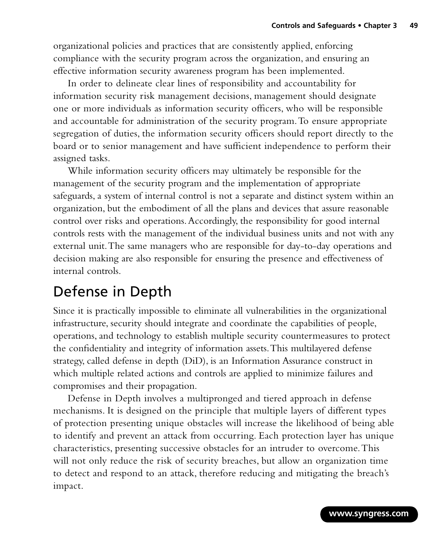organizational policies and practices that are consistently applied, enforcing compliance with the security program across the organization, and ensuring an effective information security awareness program has been implemented.

In order to delineate clear lines of responsibility and accountability for information security risk management decisions, management should designate one or more individuals as information security officers, who will be responsible and accountable for administration of the security program. To ensure appropriate segregation of duties, the information security officers should report directly to the board or to senior management and have sufficient independence to perform their assigned tasks.

While information security officers may ultimately be responsible for the management of the security program and the implementation of appropriate safeguards, a system of internal control is not a separate and distinct system within an organization, but the embodiment of all the plans and devices that assure reasonable control over risks and operations. Accordingly, the responsibility for good internal controls rests with the management of the individual business units and not with any external unit. The same managers who are responsible for day-to-day operations and decision making are also responsible for ensuring the presence and effectiveness of internal controls.

## Defense in Depth

Since it is practically impossible to eliminate all vulnerabilities in the organizational infrastructure, security should integrate and coordinate the capabilities of people, operations, and technology to establish multiple security countermeasures to protect the confidentiality and integrity of information assets. This multilayered defense strategy, called defense in depth (DiD), is an Information Assurance construct in which multiple related actions and controls are applied to minimize failures and compromises and their propagation.

Defense in Depth involves a multipronged and tiered approach in defense mechanisms. It is designed on the principle that multiple layers of different types of protection presenting unique obstacles will increase the likelihood of being able to identify and prevent an attack from occurring. Each protection layer has unique characteristics, presenting successive obstacles for an intruder to overcome. This will not only reduce the risk of security breaches, but allow an organization time to detect and respond to an attack, therefore reducing and mitigating the breach's impact.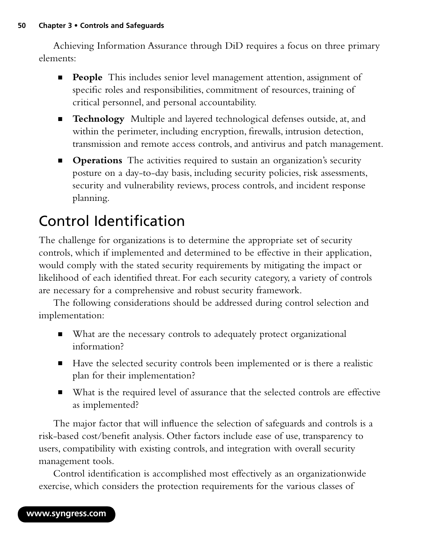Achieving Information Assurance through DiD requires a focus on three primary elements:

- **People** This includes senior level management attention, assignment of specific roles and responsibilities, commitment of resources, training of critical personnel, and personal accountability.
- **Technology** Multiple and layered technological defenses outside, at, and within the perimeter, including encryption, firewalls, intrusion detection, transmission and remote access controls, and antivirus and patch management.
- **Operations** The activities required to sustain an organization's security posture on a day-to-day basis, including security policies, risk assessments, security and vulnerability reviews, process controls, and incident response planning.

## Control Identification

The challenge for organizations is to determine the appropriate set of security controls, which if implemented and determined to be effective in their application, would comply with the stated security requirements by mitigating the impact or likelihood of each identified threat. For each security category, a variety of controls are necessary for a comprehensive and robust security framework.

The following considerations should be addressed during control selection and implementation:

- What are the necessary controls to adequately protect organizational information?
- Have the selected security controls been implemented or is there a realistic plan for their implementation?
- What is the required level of assurance that the selected controls are effective as implemented?

The major factor that will influence the selection of safeguards and controls is a risk-based cost/benefit analysis. Other factors include ease of use, transparency to users, compatibility with existing controls, and integration with overall security management tools.

Control identification is accomplished most effectively as an organizationwide exercise, which considers the protection requirements for the various classes of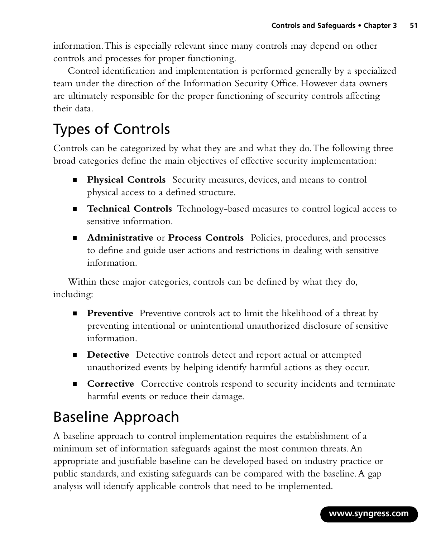information. This is especially relevant since many controls may depend on other controls and processes for proper functioning.

Control identification and implementation is performed generally by a specialized team under the direction of the Information Security Office. However data owners are ultimately responsible for the proper functioning of security controls affecting their data.

## Types of Controls

Controls can be categorized by what they are and what they do. The following three broad categories define the main objectives of effective security implementation:

- **Physical Controls** Security measures, devices, and means to control physical access to a defined structure.
- **Technical Controls** Technology-based measures to control logical access to sensitive information.
- **Administrative** or **Process Controls** Policies, procedures, and processes to define and guide user actions and restrictions in dealing with sensitive information.

Within these major categories, controls can be defined by what they do, including:

- **Preventive** Preventive controls act to limit the likelihood of a threat by preventing intentional or unintentional unauthorized disclosure of sensitive information.
- **Detective** Detective controls detect and report actual or attempted unauthorized events by helping identify harmful actions as they occur.
- **Corrective** Corrective controls respond to security incidents and terminate harmful events or reduce their damage.

## Baseline Approach

A baseline approach to control implementation requires the establishment of a minimum set of information safeguards against the most common threats. An appropriate and justifiable baseline can be developed based on industry practice or public standards, and existing safeguards can be compared with the baseline. A gap analysis will identify applicable controls that need to be implemented.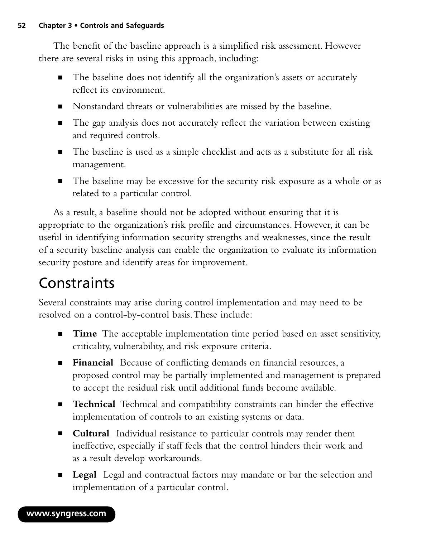The benefit of the baseline approach is a simplified risk assessment. However there are several risks in using this approach, including:

- The baseline does not identify all the organization's assets or accurately reflect its environment.
- Nonstandard threats or vulnerabilities are missed by the baseline.
- $\blacksquare$  The gap analysis does not accurately reflect the variation between existing and required controls.
- The baseline is used as a simple checklist and acts as a substitute for all risk management.
- The baseline may be excessive for the security risk exposure as a whole or as related to a particular control.

As a result, a baseline should not be adopted without ensuring that it is appropriate to the organization's risk profile and circumstances. However, it can be useful in identifying information security strengths and weaknesses, since the result of a security baseline analysis can enable the organization to evaluate its information security posture and identify areas for improvement.

## **Constraints**

Several constraints may arise during control implementation and may need to be resolved on a control-by-control basis. These include:

- **Time** The acceptable implementation time period based on asset sensitivity, criticality, vulnerability, and risk exposure criteria.
- **Financial** Because of conflicting demands on financial resources, a proposed control may be partially implemented and management is prepared to accept the residual risk until additional funds become available.
- **Technical** Technical and compatibility constraints can hinder the effective implementation of controls to an existing systems or data.
- **Cultural** Individual resistance to particular controls may render them ineffective, especially if staff feels that the control hinders their work and as a result develop workarounds.
- **Legal** Legal and contractual factors may mandate or bar the selection and implementation of a particular control.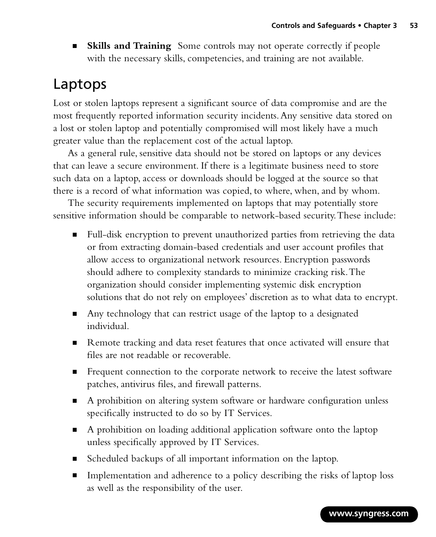**Skills and Training** Some controls may not operate correctly if people with the necessary skills, competencies, and training are not available.

### Laptops

Lost or stolen laptops represent a significant source of data compromise and are the most frequently reported information security incidents. Any sensitive data stored on a lost or stolen laptop and potentially compromised will most likely have a much greater value than the replacement cost of the actual laptop.

As a general rule, sensitive data should not be stored on laptops or any devices that can leave a secure environment. If there is a legitimate business need to store such data on a laptop, access or downloads should be logged at the source so that there is a record of what information was copied, to where, when, and by whom.

The security requirements implemented on laptops that may potentially store sensitive information should be comparable to network-based security. These include:

- Full-disk encryption to prevent unauthorized parties from retrieving the data or from extracting domain-based credentials and user account profiles that allow access to organizational network resources. Encryption passwords should adhere to complexity standards to minimize cracking risk. The organization should consider implementing systemic disk encryption solutions that do not rely on employees' discretion as to what data to encrypt.
- Any technology that can restrict usage of the laptop to a designated individual.
- Remote tracking and data reset features that once activated will ensure that files are not readable or recoverable.
- Frequent connection to the corporate network to receive the latest software patches, antivirus files, and firewall patterns.
- A prohibition on altering system software or hardware configuration unless specifically instructed to do so by IT Services.
- A prohibition on loading additional application software onto the laptop unless specifically approved by IT Services.
- Scheduled backups of all important information on the laptop.
- Implementation and adherence to a policy describing the risks of laptop loss as well as the responsibility of the user.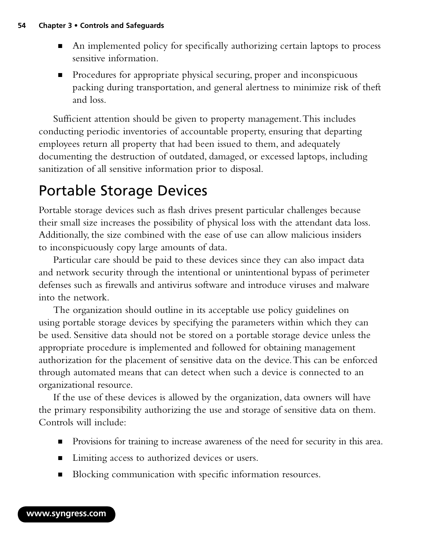- An implemented policy for specifically authorizing certain laptops to process sensitive information.
- Procedures for appropriate physical securing, proper and inconspicuous packing during transportation, and general alertness to minimize risk of theft and loss.

Sufficient attention should be given to property management. This includes conducting periodic inventories of accountable property, ensuring that departing employees return all property that had been issued to them, and adequately documenting the destruction of outdated, damaged, or excessed laptops, including sanitization of all sensitive information prior to disposal.

### Portable Storage Devices

Portable storage devices such as flash drives present particular challenges because their small size increases the possibility of physical loss with the attendant data loss. Additionally, the size combined with the ease of use can allow malicious insiders to inconspicuously copy large amounts of data.

Particular care should be paid to these devices since they can also impact data and network security through the intentional or unintentional bypass of perimeter defenses such as firewalls and antivirus software and introduce viruses and malware into the network.

The organization should outline in its acceptable use policy guidelines on using portable storage devices by specifying the parameters within which they can be used. Sensitive data should not be stored on a portable storage device unless the appropriate procedure is implemented and followed for obtaining management authorization for the placement of sensitive data on the device. This can be enforced through automated means that can detect when such a device is connected to an organizational resource.

If the use of these devices is allowed by the organization, data owners will have the primary responsibility authorizing the use and storage of sensitive data on them. Controls will include:

- Provisions for training to increase awareness of the need for security in this area.
- Limiting access to authorized devices or users.
- Blocking communication with specific information resources.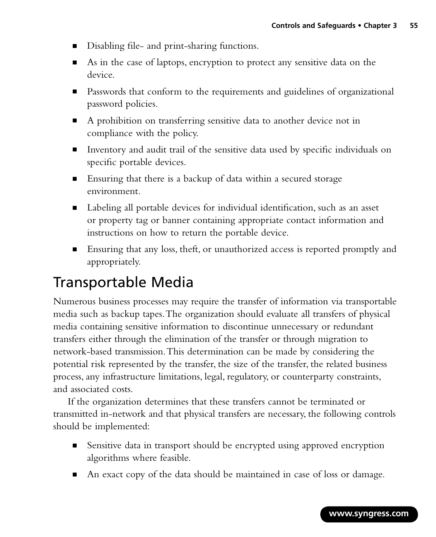- Disabling file- and print-sharing functions.
- As in the case of laptops, encryption to protect any sensitive data on the device.
- Passwords that conform to the requirements and guidelines of organizational password policies.
- A prohibition on transferring sensitive data to another device not in compliance with the policy.
- Inventory and audit trail of the sensitive data used by specific individuals on specific portable devices.
- Ensuring that there is a backup of data within a secured storage environment.
- Labeling all portable devices for individual identification, such as an asset or property tag or banner containing appropriate contact information and instructions on how to return the portable device.
- Ensuring that any loss, theft, or unauthorized access is reported promptly and appropriately.

#### Transportable Media

Numerous business processes may require the transfer of information via transportable media such as backup tapes. The organization should evaluate all transfers of physical media containing sensitive information to discontinue unnecessary or redundant transfers either through the elimination of the transfer or through migration to network-based transmission. This determination can be made by considering the potential risk represented by the transfer, the size of the transfer, the related business process, any infrastructure limitations, legal, regulatory, or counterparty constraints, and associated costs.

If the organization determines that these transfers cannot be terminated or transmitted in-network and that physical transfers are necessary, the following controls should be implemented:

- Sensitive data in transport should be encrypted using approved encryption algorithms where feasible.
- An exact copy of the data should be maintained in case of loss or damage.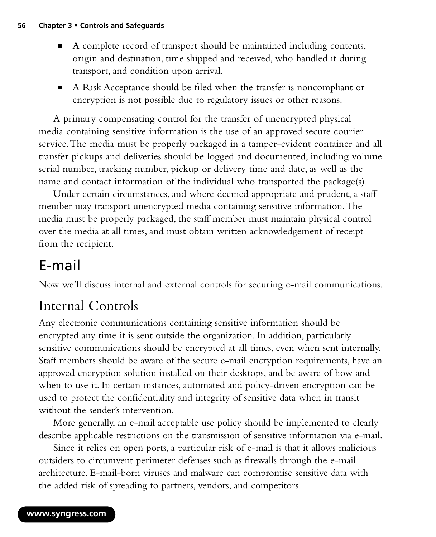- A complete record of transport should be maintained including contents, origin and destination, time shipped and received, who handled it during transport, and condition upon arrival.
- A Risk Acceptance should be filed when the transfer is noncompliant or encryption is not possible due to regulatory issues or other reasons.

A primary compensating control for the transfer of unencrypted physical media containing sensitive information is the use of an approved secure courier service. The media must be properly packaged in a tamper-evident container and all transfer pickups and deliveries should be logged and documented, including volume serial number, tracking number, pickup or delivery time and date, as well as the name and contact information of the individual who transported the package(s).

Under certain circumstances, and where deemed appropriate and prudent, a staff member may transport unencrypted media containing sensitive information. The media must be properly packaged, the staff member must maintain physical control over the media at all times, and must obtain written acknowledgement of receipt from the recipient.

### E-mail

Now we'll discuss internal and external controls for securing e-mail communications.

#### Internal Controls

Any electronic communications containing sensitive information should be encrypted any time it is sent outside the organization. In addition, particularly sensitive communications should be encrypted at all times, even when sent internally. Staff members should be aware of the secure e-mail encryption requirements, have an approved encryption solution installed on their desktops, and be aware of how and when to use it. In certain instances, automated and policy-driven encryption can be used to protect the confidentiality and integrity of sensitive data when in transit without the sender's intervention.

More generally, an e-mail acceptable use policy should be implemented to clearly describe applicable restrictions on the transmission of sensitive information via e-mail.

Since it relies on open ports, a particular risk of e-mail is that it allows malicious outsiders to circumvent perimeter defenses such as firewalls through the e-mail architecture. E-mail-born viruses and malware can compromise sensitive data with the added risk of spreading to partners, vendors, and competitors.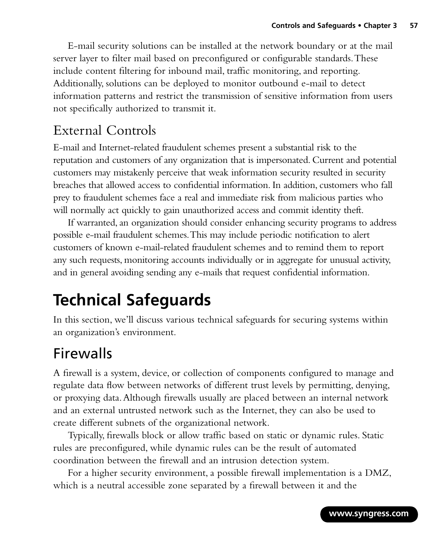E-mail security solutions can be installed at the network boundary or at the mail server layer to filter mail based on preconfigured or configurable standards. These include content filtering for inbound mail, traffic monitoring, and reporting. Additionally, solutions can be deployed to monitor outbound e-mail to detect information patterns and restrict the transmission of sensitive information from users not specifically authorized to transmit it.

#### External Controls

E-mail and Internet-related fraudulent schemes present a substantial risk to the reputation and customers of any organization that is impersonated. Current and potential customers may mistakenly perceive that weak information security resulted in security breaches that allowed access to confidential information. In addition, customers who fall prey to fraudulent schemes face a real and immediate risk from malicious parties who will normally act quickly to gain unauthorized access and commit identity theft.

If warranted, an organization should consider enhancing security programs to address possible e-mail fraudulent schemes. This may include periodic notification to alert customers of known e-mail-related fraudulent schemes and to remind them to report any such requests, monitoring accounts individually or in aggregate for unusual activity, and in general avoiding sending any e-mails that request confidential information.

## **Technical Safeguards**

In this section, we'll discuss various technical safeguards for securing systems within an organization's environment.

## Firewalls

A firewall is a system, device, or collection of components configured to manage and regulate data flow between networks of different trust levels by permitting, denying, or proxying data. Although firewalls usually are placed between an internal network and an external untrusted network such as the Internet, they can also be used to create different subnets of the organizational network.

Typically, firewalls block or allow traffic based on static or dynamic rules. Static rules are preconfigured, while dynamic rules can be the result of automated coordination between the firewall and an intrusion detection system.

For a higher security environment, a possible firewall implementation is a DMZ, which is a neutral accessible zone separated by a firewall between it and the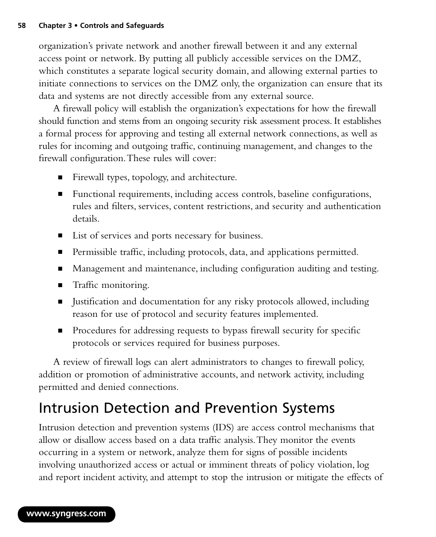organization's private network and another firewall between it and any external access point or network. By putting all publicly accessible services on the DMZ, which constitutes a separate logical security domain, and allowing external parties to initiate connections to services on the DMZ only, the organization can ensure that its data and systems are not directly accessible from any external source.

A firewall policy will establish the organization's expectations for how the firewall should function and stems from an ongoing security risk assessment process. It establishes a formal process for approving and testing all external network connections, as well as rules for incoming and outgoing traffic, continuing management, and changes to the firewall configuration. These rules will cover:

- Firewall types, topology, and architecture.
- Functional requirements, including access controls, baseline configurations, rules and filters, services, content restrictions, and security and authentication details.
- List of services and ports necessary for business.
- Permissible traffic, including protocols, data, and applications permitted.
- Management and maintenance, including configuration auditing and testing.
- Traffic monitoring.
- Justification and documentation for any risky protocols allowed, including reason for use of protocol and security features implemented.
- Procedures for addressing requests to bypass firewall security for specific protocols or services required for business purposes.

A review of firewall logs can alert administrators to changes to firewall policy, addition or promotion of administrative accounts, and network activity, including permitted and denied connections.

## Intrusion Detection and Prevention Systems

Intrusion detection and prevention systems (IDS) are access control mechanisms that allow or disallow access based on a data traffic analysis. They monitor the events occurring in a system or network, analyze them for signs of possible incidents involving unauthorized access or actual or imminent threats of policy violation, log and report incident activity, and attempt to stop the intrusion or mitigate the effects of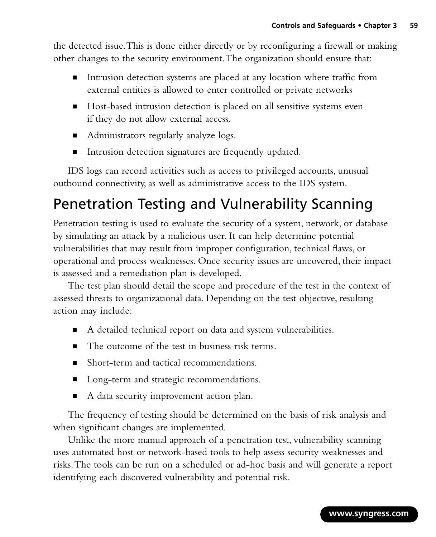the detected issue. This is done either directly or by reconfiguring a firewall or making other changes to the security environment. The organization should ensure that:

- Intrusion detection systems are placed at any location where traffic from external entities is allowed to enter controlled or private networks
- Host-based intrusion detection is placed on all sensitive systems even if they do not allow external access.
- Administrators regularly analyze logs.
- Intrusion detection signatures are frequently updated.

IDS logs can record activities such as access to privileged accounts, unusual outbound connectivity, as well as administrative access to the IDS system.

### Penetration Testing and Vulnerability Scanning

Penetration testing is used to evaluate the security of a system, network, or database by simulating an attack by a malicious user. It can help determine potential vulnerabilities that may result from improper configuration, technical flaws, or operational and process weaknesses. Once security issues are uncovered, their impact is assessed and a remediation plan is developed.

The test plan should detail the scope and procedure of the test in the context of assessed threats to organizational data. Depending on the test objective, resulting action may include:

- A detailed technical report on data and system vulnerabilities.
- The outcome of the test in business risk terms.
- Short-term and tactical recommendations.
- Long-term and strategic recommendations.
- A data security improvement action plan.

The frequency of testing should be determined on the basis of risk analysis and when significant changes are implemented.

Unlike the more manual approach of a penetration test, vulnerability scanning uses automated host or network-based tools to help assess security weaknesses and risks. The tools can be run on a scheduled or ad-hoc basis and will generate a report identifying each discovered vulnerability and potential risk.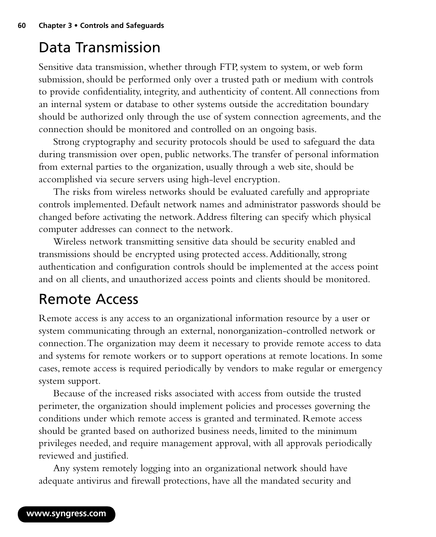### Data Transmission

Sensitive data transmission, whether through FTP, system to system, or web form submission, should be performed only over a trusted path or medium with controls to provide confidentiality, integrity, and authenticity of content. All connections from an internal system or database to other systems outside the accreditation boundary should be authorized only through the use of system connection agreements, and the connection should be monitored and controlled on an ongoing basis.

Strong cryptography and security protocols should be used to safeguard the data during transmission over open, public networks. The transfer of personal information from external parties to the organization, usually through a web site, should be accomplished via secure servers using high-level encryption.

The risks from wireless networks should be evaluated carefully and appropriate controls implemented. Default network names and administrator passwords should be changed before activating the network. Address filtering can specify which physical computer addresses can connect to the network.

Wireless network transmitting sensitive data should be security enabled and transmissions should be encrypted using protected access. Additionally, strong authentication and configuration controls should be implemented at the access point and on all clients, and unauthorized access points and clients should be monitored.

#### Remote Access

Remote access is any access to an organizational information resource by a user or system communicating through an external, nonorganization-controlled network or connection. The organization may deem it necessary to provide remote access to data and systems for remote workers or to support operations at remote locations. In some cases, remote access is required periodically by vendors to make regular or emergency system support.

Because of the increased risks associated with access from outside the trusted perimeter, the organization should implement policies and processes governing the conditions under which remote access is granted and terminated. Remote access should be granted based on authorized business needs, limited to the minimum privileges needed, and require management approval, with all approvals periodically reviewed and justified.

Any system remotely logging into an organizational network should have adequate antivirus and firewall protections, have all the mandated security and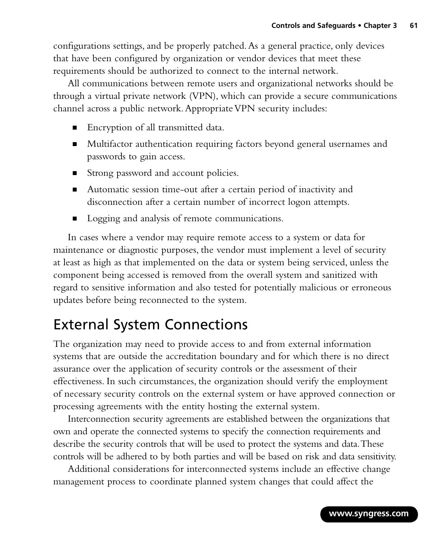configurations settings, and be properly patched. As a general practice, only devices that have been configured by organization or vendor devices that meet these requirements should be authorized to connect to the internal network.

All communications between remote users and organizational networks should be through a virtual private network (VPN), which can provide a secure communications channel across a public network. Appropriate VPN security includes:

- Encryption of all transmitted data.
- Multifactor authentication requiring factors beyond general usernames and passwords to gain access.
- Strong password and account policies.
- Automatic session time-out after a certain period of inactivity and disconnection after a certain number of incorrect logon attempts.
- Logging and analysis of remote communications.

In cases where a vendor may require remote access to a system or data for maintenance or diagnostic purposes, the vendor must implement a level of security at least as high as that implemented on the data or system being serviced, unless the component being accessed is removed from the overall system and sanitized with regard to sensitive information and also tested for potentially malicious or erroneous updates before being reconnected to the system.

### External System Connections

The organization may need to provide access to and from external information systems that are outside the accreditation boundary and for which there is no direct assurance over the application of security controls or the assessment of their effectiveness. In such circumstances, the organization should verify the employment of necessary security controls on the external system or have approved connection or processing agreements with the entity hosting the external system.

Interconnection security agreements are established between the organizations that own and operate the connected systems to specify the connection requirements and describe the security controls that will be used to protect the systems and data. These controls will be adhered to by both parties and will be based on risk and data sensitivity.

Additional considerations for interconnected systems include an effective change management process to coordinate planned system changes that could affect the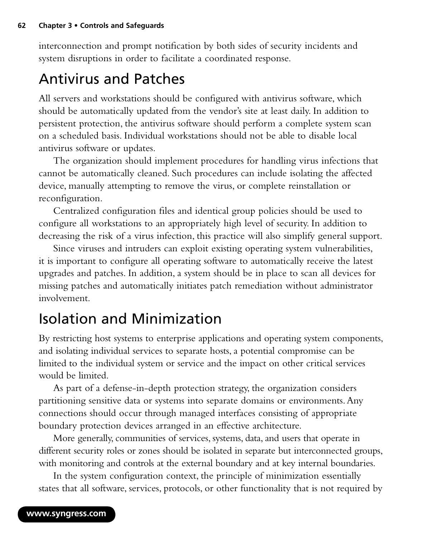interconnection and prompt notification by both sides of security incidents and system disruptions in order to facilitate a coordinated response.

### Antivirus and Patches

All servers and workstations should be configured with antivirus software, which should be automatically updated from the vendor's site at least daily. In addition to persistent protection, the antivirus software should perform a complete system scan on a scheduled basis. Individual workstations should not be able to disable local antivirus software or updates.

The organization should implement procedures for handling virus infections that cannot be automatically cleaned. Such procedures can include isolating the affected device, manually attempting to remove the virus, or complete reinstallation or reconfiguration.

Centralized configuration files and identical group policies should be used to configure all workstations to an appropriately high level of security. In addition to decreasing the risk of a virus infection, this practice will also simplify general support.

Since viruses and intruders can exploit existing operating system vulnerabilities, it is important to configure all operating software to automatically receive the latest upgrades and patches. In addition, a system should be in place to scan all devices for missing patches and automatically initiates patch remediation without administrator involvement.

### Isolation and Minimization

By restricting host systems to enterprise applications and operating system components, and isolating individual services to separate hosts, a potential compromise can be limited to the individual system or service and the impact on other critical services would be limited.

As part of a defense-in-depth protection strategy, the organization considers partitioning sensitive data or systems into separate domains or environments. Any connections should occur through managed interfaces consisting of appropriate boundary protection devices arranged in an effective architecture.

More generally, communities of services, systems, data, and users that operate in different security roles or zones should be isolated in separate but interconnected groups, with monitoring and controls at the external boundary and at key internal boundaries.

In the system configuration context, the principle of minimization essentially states that all software, services, protocols, or other functionality that is not required by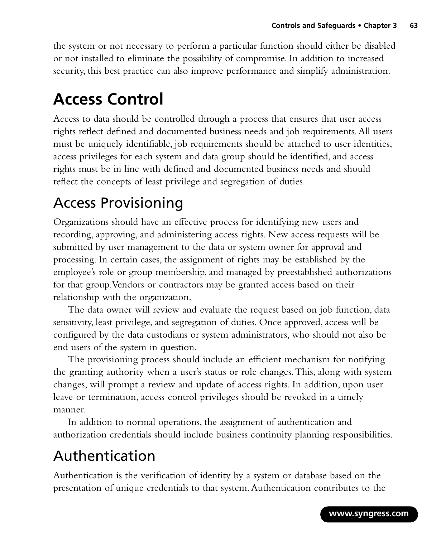the system or not necessary to perform a particular function should either be disabled or not installed to eliminate the possibility of compromise. In addition to increased security, this best practice can also improve performance and simplify administration.

## **Access Control**

Access to data should be controlled through a process that ensures that user access rights reflect defined and documented business needs and job requirements. All users must be uniquely identifiable, job requirements should be attached to user identities, access privileges for each system and data group should be identified, and access rights must be in line with defined and documented business needs and should reflect the concepts of least privilege and segregation of duties.

## Access Provisioning

Organizations should have an effective process for identifying new users and recording, approving, and administering access rights. New access requests will be submitted by user management to the data or system owner for approval and processing. In certain cases, the assignment of rights may be established by the employee's role or group membership, and managed by preestablished authorizations for that group. Vendors or contractors may be granted access based on their relationship with the organization.

The data owner will review and evaluate the request based on job function, data sensitivity, least privilege, and segregation of duties. Once approved, access will be configured by the data custodians or system administrators, who should not also be end users of the system in question.

The provisioning process should include an efficient mechanism for notifying the granting authority when a user's status or role changes. This, along with system changes, will prompt a review and update of access rights. In addition, upon user leave or termination, access control privileges should be revoked in a timely manner.

In addition to normal operations, the assignment of authentication and authorization credentials should include business continuity planning responsibilities.

## Authentication

Authentication is the verification of identity by a system or database based on the presentation of unique credentials to that system. Authentication contributes to the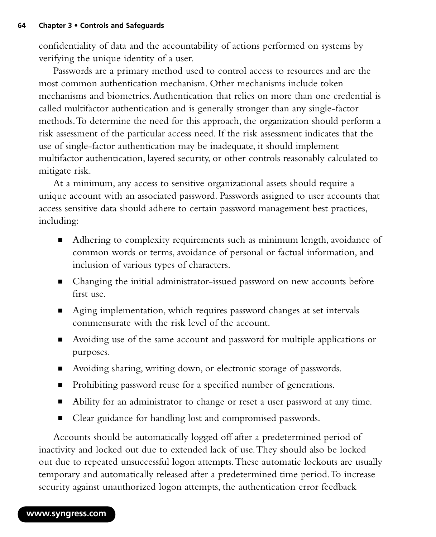confidentiality of data and the accountability of actions performed on systems by verifying the unique identity of a user.

Passwords are a primary method used to control access to resources and are the most common authentication mechanism. Other mechanisms include token mechanisms and biometrics. Authentication that relies on more than one credential is called multifactor authentication and is generally stronger than any single-factor methods. To determine the need for this approach, the organization should perform a risk assessment of the particular access need. If the risk assessment indicates that the use of single-factor authentication may be inadequate, it should implement multifactor authentication, layered security, or other controls reasonably calculated to mitigate risk.

At a minimum, any access to sensitive organizational assets should require a unique account with an associated password. Passwords assigned to user accounts that access sensitive data should adhere to certain password management best practices, including:

- Adhering to complexity requirements such as minimum length, avoidance of common words or terms, avoidance of personal or factual information, and inclusion of various types of characters.
- Changing the initial administrator-issued password on new accounts before first use.
- Aging implementation, which requires password changes at set intervals commensurate with the risk level of the account.
- Avoiding use of the same account and password for multiple applications or purposes.
- Avoiding sharing, writing down, or electronic storage of passwords.
- Prohibiting password reuse for a specified number of generations.
- Ability for an administrator to change or reset a user password at any time.
- Clear guidance for handling lost and compromised passwords.

Accounts should be automatically logged off after a predetermined period of inactivity and locked out due to extended lack of use. They should also be locked out due to repeated unsuccessful logon attempts. These automatic lockouts are usually temporary and automatically released after a predetermined time period. To increase security against unauthorized logon attempts, the authentication error feedback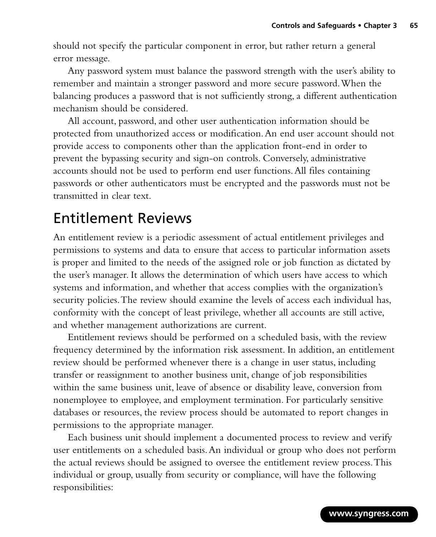should not specify the particular component in error, but rather return a general error message.

Any password system must balance the password strength with the user's ability to remember and maintain a stronger password and more secure password. When the balancing produces a password that is not sufficiently strong, a different authentication mechanism should be considered.

All account, password, and other user authentication information should be protected from unauthorized access or modification. An end user account should not provide access to components other than the application front-end in order to prevent the bypassing security and sign-on controls. Conversely, administrative accounts should not be used to perform end user functions. All files containing passwords or other authenticators must be encrypted and the passwords must not be transmitted in clear text.

### Entitlement Reviews

An entitlement review is a periodic assessment of actual entitlement privileges and permissions to systems and data to ensure that access to particular information assets is proper and limited to the needs of the assigned role or job function as dictated by the user's manager. It allows the determination of which users have access to which systems and information, and whether that access complies with the organization's security policies. The review should examine the levels of access each individual has, conformity with the concept of least privilege, whether all accounts are still active, and whether management authorizations are current.

Entitlement reviews should be performed on a scheduled basis, with the review frequency determined by the information risk assessment. In addition, an entitlement review should be performed whenever there is a change in user status, including transfer or reassignment to another business unit, change of job responsibilities within the same business unit, leave of absence or disability leave, conversion from nonemployee to employee, and employment termination. For particularly sensitive databases or resources, the review process should be automated to report changes in permissions to the appropriate manager.

Each business unit should implement a documented process to review and verify user entitlements on a scheduled basis. An individual or group who does not perform the actual reviews should be assigned to oversee the entitlement review process. This individual or group, usually from security or compliance, will have the following responsibilities: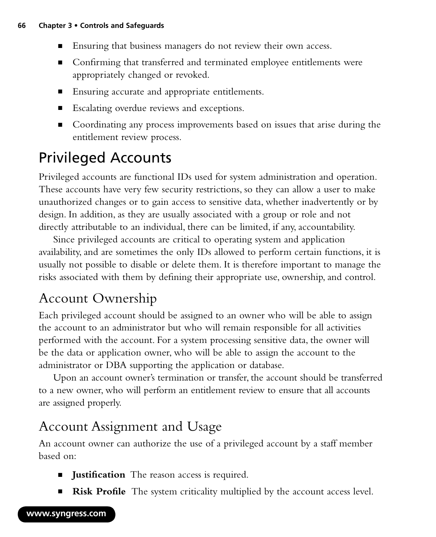- Ensuring that business managers do not review their own access.
- Confirming that transferred and terminated employee entitlements were appropriately changed or revoked.
- Ensuring accurate and appropriate entitlements.
- Escalating overdue reviews and exceptions.
- Coordinating any process improvements based on issues that arise during the entitlement review process.

### Privileged Accounts

Privileged accounts are functional IDs used for system administration and operation. These accounts have very few security restrictions, so they can allow a user to make unauthorized changes or to gain access to sensitive data, whether inadvertently or by design. In addition, as they are usually associated with a group or role and not directly attributable to an individual, there can be limited, if any, accountability.

Since privileged accounts are critical to operating system and application availability, and are sometimes the only IDs allowed to perform certain functions, it is usually not possible to disable or delete them. It is therefore important to manage the risks associated with them by defining their appropriate use, ownership, and control.

#### Account Ownership

Each privileged account should be assigned to an owner who will be able to assign the account to an administrator but who will remain responsible for all activities performed with the account. For a system processing sensitive data, the owner will be the data or application owner, who will be able to assign the account to the administrator or DBA supporting the application or database.

Upon an account owner's termination or transfer, the account should be transferred to a new owner, who will perform an entitlement review to ensure that all accounts are assigned properly.

#### Account Assignment and Usage

An account owner can authorize the use of a privileged account by a staff member based on:

- **Justification** The reason access is required.
- **Risk Profile** The system criticality multiplied by the account access level.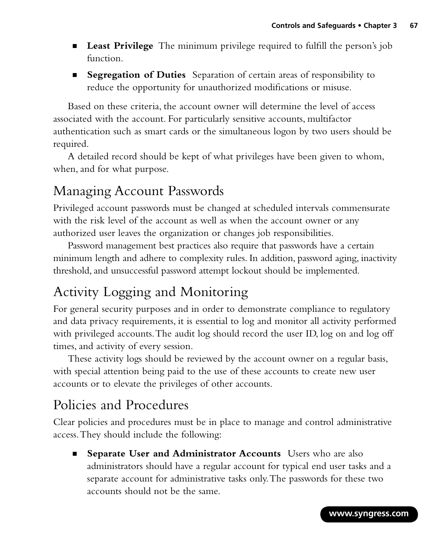- **Least Privilege** The minimum privilege required to fulfill the person's job function.
- **Segregation of Duties** Separation of certain areas of responsibility to reduce the opportunity for unauthorized modifications or misuse.

Based on these criteria, the account owner will determine the level of access associated with the account. For particularly sensitive accounts, multifactor authentication such as smart cards or the simultaneous logon by two users should be required.

A detailed record should be kept of what privileges have been given to whom, when, and for what purpose.

#### Managing Account Passwords

Privileged account passwords must be changed at scheduled intervals commensurate with the risk level of the account as well as when the account owner or any authorized user leaves the organization or changes job responsibilities.

Password management best practices also require that passwords have a certain minimum length and adhere to complexity rules. In addition, password aging, inactivity threshold, and unsuccessful password attempt lockout should be implemented.

#### Activity Logging and Monitoring

For general security purposes and in order to demonstrate compliance to regulatory and data privacy requirements, it is essential to log and monitor all activity performed with privileged accounts. The audit log should record the user ID, log on and log off times, and activity of every session.

These activity logs should be reviewed by the account owner on a regular basis, with special attention being paid to the use of these accounts to create new user accounts or to elevate the privileges of other accounts.

#### Policies and Procedures

Clear policies and procedures must be in place to manage and control administrative access. They should include the following:

■ **Separate User and Administrator Accounts** Users who are also administrators should have a regular account for typical end user tasks and a separate account for administrative tasks only. The passwords for these two accounts should not be the same.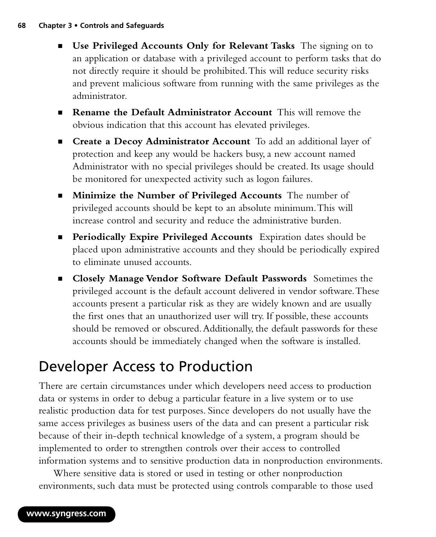- **Use Privileged Accounts Only for Relevant Tasks** The signing on to an application or database with a privileged account to perform tasks that do not directly require it should be prohibited. This will reduce security risks and prevent malicious software from running with the same privileges as the administrator.
- **Rename the Default Administrator Account** This will remove the obvious indication that this account has elevated privileges.
- **Create a Decoy Administrator Account** To add an additional layer of protection and keep any would be hackers busy, a new account named Administrator with no special privileges should be created. Its usage should be monitored for unexpected activity such as logon failures.
- **Minimize the Number of Privileged Accounts** The number of privileged accounts should be kept to an absolute minimum. This will increase control and security and reduce the administrative burden.
- **Periodically Expire Privileged Accounts** Expiration dates should be placed upon administrative accounts and they should be periodically expired to eliminate unused accounts.
- **Closely Manage Vendor Software Default Passwords** Sometimes the privileged account is the default account delivered in vendor software. These accounts present a particular risk as they are widely known and are usually the first ones that an unauthorized user will try. If possible, these accounts should be removed or obscured. Additionally, the default passwords for these accounts should be immediately changed when the software is installed.

## Developer Access to Production

There are certain circumstances under which developers need access to production data or systems in order to debug a particular feature in a live system or to use realistic production data for test purposes. Since developers do not usually have the same access privileges as business users of the data and can present a particular risk because of their in-depth technical knowledge of a system, a program should be implemented to order to strengthen controls over their access to controlled information systems and to sensitive production data in nonproduction environments.

Where sensitive data is stored or used in testing or other nonproduction environments, such data must be protected using controls comparable to those used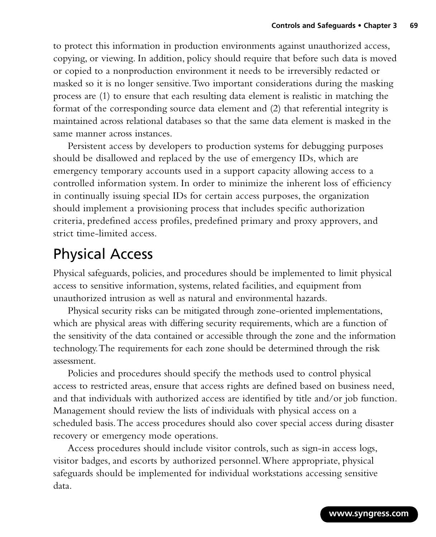to protect this information in production environments against unauthorized access, copying, or viewing. In addition, policy should require that before such data is moved or copied to a nonproduction environment it needs to be irreversibly redacted or masked so it is no longer sensitive. Two important considerations during the masking process are (1) to ensure that each resulting data element is realistic in matching the format of the corresponding source data element and (2) that referential integrity is maintained across relational databases so that the same data element is masked in the same manner across instances.

Persistent access by developers to production systems for debugging purposes should be disallowed and replaced by the use of emergency IDs, which are emergency temporary accounts used in a support capacity allowing access to a controlled information system. In order to minimize the inherent loss of efficiency in continually issuing special IDs for certain access purposes, the organization should implement a provisioning process that includes specific authorization criteria, predefined access profiles, predefined primary and proxy approvers, and strict time-limited access.

### Physical Access

Physical safeguards, policies, and procedures should be implemented to limit physical access to sensitive information, systems, related facilities, and equipment from unauthorized intrusion as well as natural and environmental hazards.

Physical security risks can be mitigated through zone-oriented implementations, which are physical areas with differing security requirements, which are a function of the sensitivity of the data contained or accessible through the zone and the information technology. The requirements for each zone should be determined through the risk assessment.

Policies and procedures should specify the methods used to control physical access to restricted areas, ensure that access rights are defined based on business need, and that individuals with authorized access are identified by title and/or job function. Management should review the lists of individuals with physical access on a scheduled basis. The access procedures should also cover special access during disaster recovery or emergency mode operations.

Access procedures should include visitor controls, such as sign-in access logs, visitor badges, and escorts by authorized personnel. Where appropriate, physical safeguards should be implemented for individual workstations accessing sensitive data.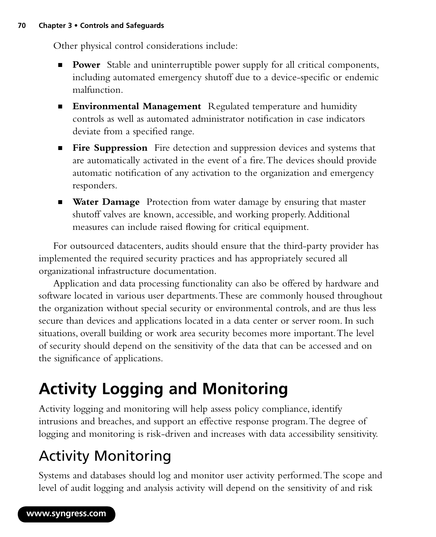Other physical control considerations include:

- **Power** Stable and uninterruptible power supply for all critical components, including automated emergency shutoff due to a device-specific or endemic malfunction.
- **Environmental Management** Regulated temperature and humidity controls as well as automated administrator notification in case indicators deviate from a specified range.
- **Fire Suppression** Fire detection and suppression devices and systems that are automatically activated in the event of a fire. The devices should provide automatic notification of any activation to the organization and emergency responders.
- **Water Damage** Protection from water damage by ensuring that master shutoff valves are known, accessible, and working properly. Additional measures can include raised flowing for critical equipment.

For outsourced datacenters, audits should ensure that the third-party provider has implemented the required security practices and has appropriately secured all organizational infrastructure documentation.

Application and data processing functionality can also be offered by hardware and software located in various user departments. These are commonly housed throughout the organization without special security or environmental controls, and are thus less secure than devices and applications located in a data center or server room. In such situations, overall building or work area security becomes more important. The level of security should depend on the sensitivity of the data that can be accessed and on the significance of applications.

## **Activity Logging and Monitoring**

Activity logging and monitoring will help assess policy compliance, identify intrusions and breaches, and support an effective response program. The degree of logging and monitoring is risk-driven and increases with data accessibility sensitivity.

## Activity Monitoring

Systems and databases should log and monitor user activity performed. The scope and level of audit logging and analysis activity will depend on the sensitivity of and risk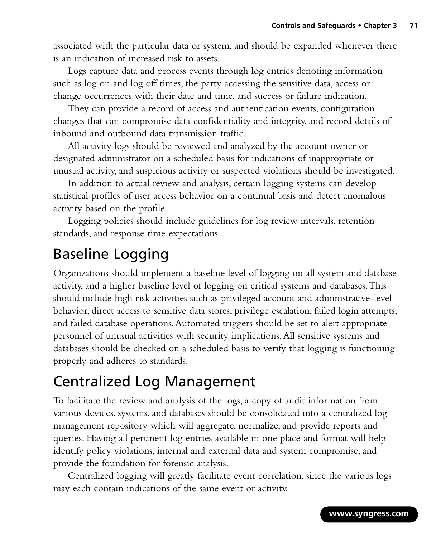associated with the particular data or system, and should be expanded whenever there is an indication of increased risk to assets.

Logs capture data and process events through log entries denoting information such as log on and log off times, the party accessing the sensitive data, access or change occurrences with their date and time, and success or failure indication.

They can provide a record of access and authentication events, configuration changes that can compromise data confidentiality and integrity, and record details of inbound and outbound data transmission traffic.

All activity logs should be reviewed and analyzed by the account owner or designated administrator on a scheduled basis for indications of inappropriate or unusual activity, and suspicious activity or suspected violations should be investigated.

In addition to actual review and analysis, certain logging systems can develop statistical profiles of user access behavior on a continual basis and detect anomalous activity based on the profile.

Logging policies should include guidelines for log review intervals, retention standards, and response time expectations.

### Baseline Logging

Organizations should implement a baseline level of logging on all system and database activity, and a higher baseline level of logging on critical systems and databases. This should include high risk activities such as privileged account and administrative-level behavior, direct access to sensitive data stores, privilege escalation, failed login attempts, and failed database operations. Automated triggers should be set to alert appropriate personnel of unusual activities with security implications. All sensitive systems and databases should be checked on a scheduled basis to verify that logging is functioning properly and adheres to standards.

### Centralized Log Management

To facilitate the review and analysis of the logs, a copy of audit information from various devices, systems, and databases should be consolidated into a centralized log management repository which will aggregate, normalize, and provide reports and queries. Having all pertinent log entries available in one place and format will help identify policy violations, internal and external data and system compromise, and provide the foundation for forensic analysis.

Centralized logging will greatly facilitate event correlation, since the various logs may each contain indications of the same event or activity.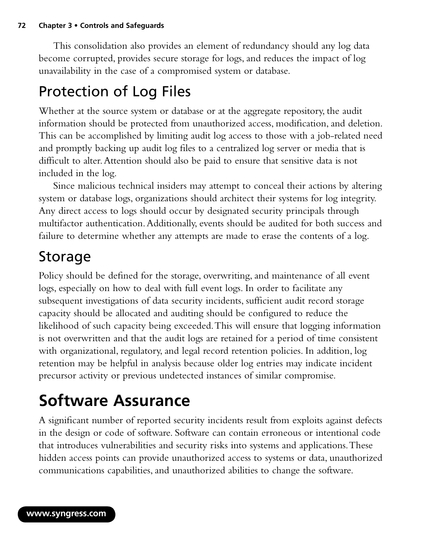This consolidation also provides an element of redundancy should any log data become corrupted, provides secure storage for logs, and reduces the impact of log unavailability in the case of a compromised system or database.

## Protection of Log Files

Whether at the source system or database or at the aggregate repository, the audit information should be protected from unauthorized access, modification, and deletion. This can be accomplished by limiting audit log access to those with a job-related need and promptly backing up audit log files to a centralized log server or media that is difficult to alter. Attention should also be paid to ensure that sensitive data is not included in the log.

Since malicious technical insiders may attempt to conceal their actions by altering system or database logs, organizations should architect their systems for log integrity. Any direct access to logs should occur by designated security principals through multifactor authentication. Additionally, events should be audited for both success and failure to determine whether any attempts are made to erase the contents of a log.

## Storage

Policy should be defined for the storage, overwriting, and maintenance of all event logs, especially on how to deal with full event logs. In order to facilitate any subsequent investigations of data security incidents, sufficient audit record storage capacity should be allocated and auditing should be configured to reduce the likelihood of such capacity being exceeded. This will ensure that logging information is not overwritten and that the audit logs are retained for a period of time consistent with organizational, regulatory, and legal record retention policies. In addition, log retention may be helpful in analysis because older log entries may indicate incident precursor activity or previous undetected instances of similar compromise.

## **Software Assurance**

A significant number of reported security incidents result from exploits against defects in the design or code of software. Software can contain erroneous or intentional code that introduces vulnerabilities and security risks into systems and applications. These hidden access points can provide unauthorized access to systems or data, unauthorized communications capabilities, and unauthorized abilities to change the software.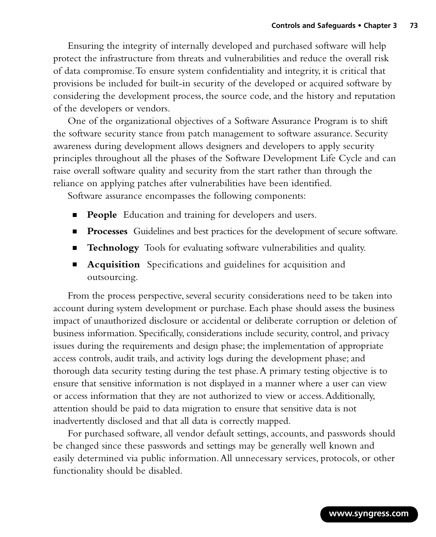Ensuring the integrity of internally developed and purchased software will help protect the infrastructure from threats and vulnerabilities and reduce the overall risk of data compromise. To ensure system confi dentiality and integrity, it is critical that provisions be included for built-in security of the developed or acquired software by considering the development process, the source code, and the history and reputation of the developers or vendors.

One of the organizational objectives of a Software Assurance Program is to shift the software security stance from patch management to software assurance. Security awareness during development allows designers and developers to apply security principles throughout all the phases of the Software Development Life Cycle and can raise overall software quality and security from the start rather than through the reliance on applying patches after vulnerabilities have been identified.

Software assurance encompasses the following components:

- **People** Education and training for developers and users.
- **Processes** Guidelines and best practices for the development of secure software.
- **Technology** Tools for evaluating software vulnerabilities and quality.
- **Acquisition** Specifications and guidelines for acquisition and outsourcing.

From the process perspective, several security considerations need to be taken into account during system development or purchase. Each phase should assess the business impact of unauthorized disclosure or accidental or deliberate corruption or deletion of business information. Specifically, considerations include security, control, and privacy issues during the requirements and design phase; the implementation of appropriate access controls, audit trails, and activity logs during the development phase; and thorough data security testing during the test phase. A primary testing objective is to ensure that sensitive information is not displayed in a manner where a user can view or access information that they are not authorized to view or access. Additionally, attention should be paid to data migration to ensure that sensitive data is not inadvertently disclosed and that all data is correctly mapped.

For purchased software, all vendor default settings, accounts, and passwords should be changed since these passwords and settings may be generally well known and easily determined via public information. All unnecessary services, protocols, or other functionality should be disabled.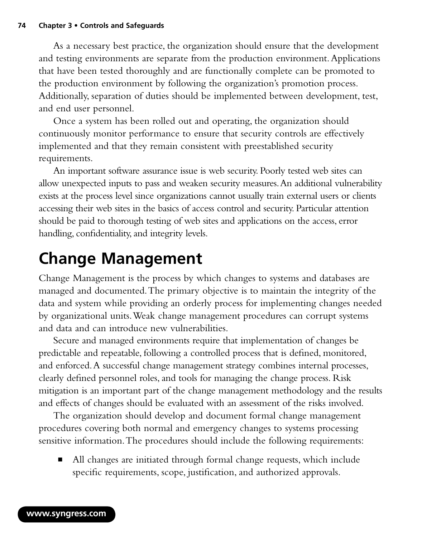As a necessary best practice, the organization should ensure that the development and testing environments are separate from the production environment. Applications that have been tested thoroughly and are functionally complete can be promoted to the production environment by following the organization's promotion process. Additionally, separation of duties should be implemented between development, test, and end user personnel.

Once a system has been rolled out and operating, the organization should continuously monitor performance to ensure that security controls are effectively implemented and that they remain consistent with preestablished security requirements.

An important software assurance issue is web security. Poorly tested web sites can allow unexpected inputs to pass and weaken security measures. An additional vulnerability exists at the process level since organizations cannot usually train external users or clients accessing their web sites in the basics of access control and security. Particular attention should be paid to thorough testing of web sites and applications on the access, error handling, confidentiality, and integrity levels.

## **Change Management**

Change Management is the process by which changes to systems and databases are managed and documented. The primary objective is to maintain the integrity of the data and system while providing an orderly process for implementing changes needed by organizational units. Weak change management procedures can corrupt systems and data and can introduce new vulnerabilities.

Secure and managed environments require that implementation of changes be predictable and repeatable, following a controlled process that is defined, monitored, and enforced. A successful change management strategy combines internal processes, clearly defined personnel roles, and tools for managing the change process. Risk mitigation is an important part of the change management methodology and the results and effects of changes should be evaluated with an assessment of the risks involved.

The organization should develop and document formal change management procedures covering both normal and emergency changes to systems processing sensitive information. The procedures should include the following requirements:

■ All changes are initiated through formal change requests, which include specific requirements, scope, justification, and authorized approvals.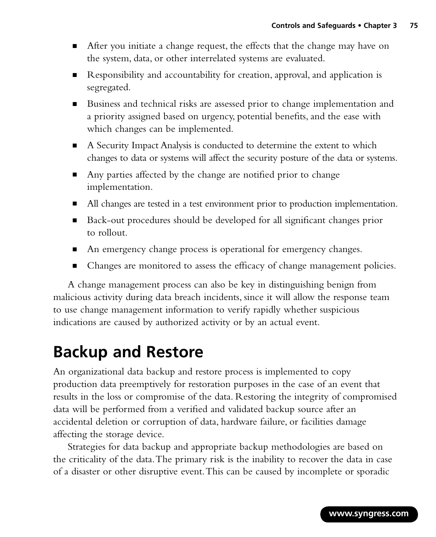- After you initiate a change request, the effects that the change may have on the system, data, or other interrelated systems are evaluated.
- Responsibility and accountability for creation, approval, and application is segregated.
- Business and technical risks are assessed prior to change implementation and a priority assigned based on urgency, potential benefits, and the ease with which changes can be implemented.
- A Security Impact Analysis is conducted to determine the extent to which changes to data or systems will affect the security posture of the data or systems.
- Any parties affected by the change are notified prior to change implementation.
- All changes are tested in a test environment prior to production implementation.
- Back-out procedures should be developed for all significant changes prior to rollout.
- An emergency change process is operational for emergency changes.
- Changes are monitored to assess the efficacy of change management policies.

A change management process can also be key in distinguishing benign from malicious activity during data breach incidents, since it will allow the response team to use change management information to verify rapidly whether suspicious indications are caused by authorized activity or by an actual event.

#### **Backup and Restore**

An organizational data backup and restore process is implemented to copy production data preemptively for restoration purposes in the case of an event that results in the loss or compromise of the data. Restoring the integrity of compromised data will be performed from a verified and validated backup source after an accidental deletion or corruption of data, hardware failure, or facilities damage affecting the storage device.

Strategies for data backup and appropriate backup methodologies are based on the criticality of the data. The primary risk is the inability to recover the data in case of a disaster or other disruptive event. This can be caused by incomplete or sporadic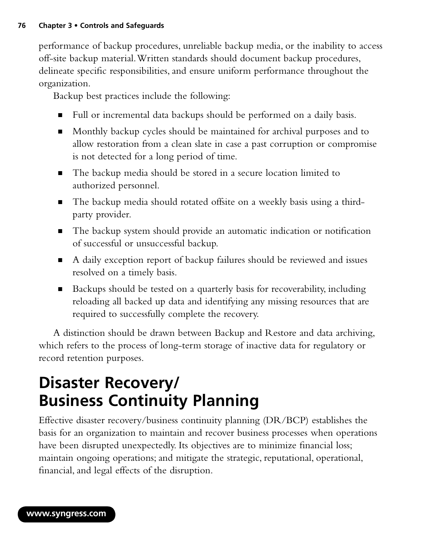performance of backup procedures, unreliable backup media, or the inability to access off-site backup material. Written standards should document backup procedures, delineate specific responsibilities, and ensure uniform performance throughout the organization.

Backup best practices include the following:

- Full or incremental data backups should be performed on a daily basis.
- Monthly backup cycles should be maintained for archival purposes and to allow restoration from a clean slate in case a past corruption or compromise is not detected for a long period of time.
- The backup media should be stored in a secure location limited to authorized personnel.
- The backup media should rotated offsite on a weekly basis using a thirdparty provider.
- The backup system should provide an automatic indication or notification of successful or unsuccessful backup.
- A daily exception report of backup failures should be reviewed and issues resolved on a timely basis.
- Backups should be tested on a quarterly basis for recoverability, including reloading all backed up data and identifying any missing resources that are required to successfully complete the recovery.

A distinction should be drawn between Backup and Restore and data archiving, which refers to the process of long-term storage of inactive data for regulatory or record retention purposes.

## **Disaster Recovery/ Business Continuity Planning**

Effective disaster recovery/business continuity planning (DR/BCP) establishes the basis for an organization to maintain and recover business processes when operations have been disrupted unexpectedly. Its objectives are to minimize financial loss; maintain ongoing operations; and mitigate the strategic, reputational, operational, financial, and legal effects of the disruption.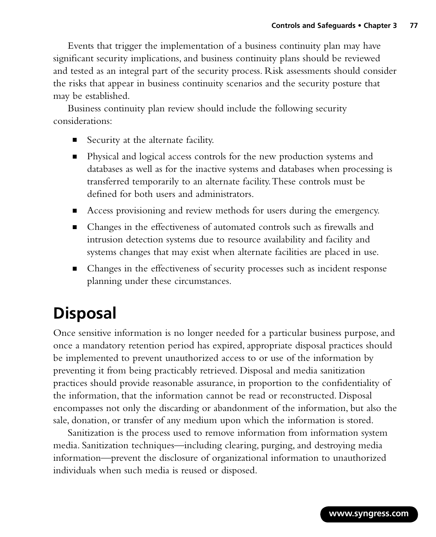Events that trigger the implementation of a business continuity plan may have significant security implications, and business continuity plans should be reviewed and tested as an integral part of the security process. Risk assessments should consider the risks that appear in business continuity scenarios and the security posture that may be established.

Business continuity plan review should include the following security considerations:

- Security at the alternate facility.
- Physical and logical access controls for the new production systems and databases as well as for the inactive systems and databases when processing is transferred temporarily to an alternate facility. These controls must be defined for both users and administrators.
- Access provisioning and review methods for users during the emergency.
- Changes in the effectiveness of automated controls such as firewalls and intrusion detection systems due to resource availability and facility and systems changes that may exist when alternate facilities are placed in use.
- Changes in the effectiveness of security processes such as incident response planning under these circumstances.

## **Disposal**

Once sensitive information is no longer needed for a particular business purpose, and once a mandatory retention period has expired, appropriate disposal practices should be implemented to prevent unauthorized access to or use of the information by preventing it from being practicably retrieved. Disposal and media sanitization practices should provide reasonable assurance, in proportion to the confidentiality of the information, that the information cannot be read or reconstructed. Disposal encompasses not only the discarding or abandonment of the information, but also the sale, donation, or transfer of any medium upon which the information is stored.

Sanitization is the process used to remove information from information system media. Sanitization techniques—including clearing, purging, and destroying media information—prevent the disclosure of organizational information to unauthorized individuals when such media is reused or disposed.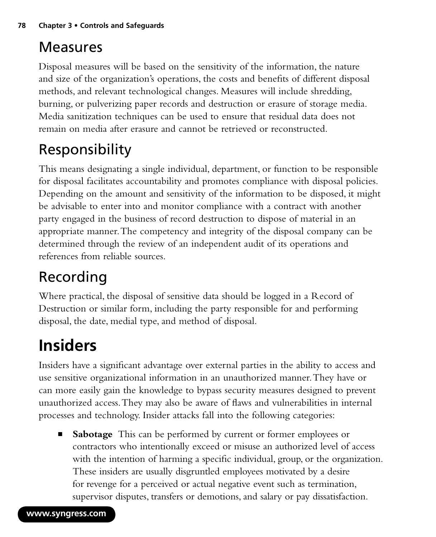### Measures

Disposal measures will be based on the sensitivity of the information, the nature and size of the organization's operations, the costs and benefits of different disposal methods, and relevant technological changes. Measures will include shredding, burning, or pulverizing paper records and destruction or erasure of storage media. Media sanitization techniques can be used to ensure that residual data does not remain on media after erasure and cannot be retrieved or reconstructed.

## Responsibility

This means designating a single individual, department, or function to be responsible for disposal facilitates accountability and promotes compliance with disposal policies. Depending on the amount and sensitivity of the information to be disposed, it might be advisable to enter into and monitor compliance with a contract with another party engaged in the business of record destruction to dispose of material in an appropriate manner. The competency and integrity of the disposal company can be determined through the review of an independent audit of its operations and references from reliable sources.

## Recording

Where practical, the disposal of sensitive data should be logged in a Record of Destruction or similar form, including the party responsible for and performing disposal, the date, medial type, and method of disposal.

# **Insiders**

Insiders have a significant advantage over external parties in the ability to access and use sensitive organizational information in an unauthorized manner. They have or can more easily gain the knowledge to bypass security measures designed to prevent unauthorized access. They may also be aware of flaws and vulnerabilities in internal processes and technology. Insider attacks fall into the following categories:

■ **Sabotage** This can be performed by current or former employees or contractors who intentionally exceed or misuse an authorized level of access with the intention of harming a specific individual, group, or the organization. These insiders are usually disgruntled employees motivated by a desire for revenge for a perceived or actual negative event such as termination, supervisor disputes, transfers or demotions, and salary or pay dissatisfaction.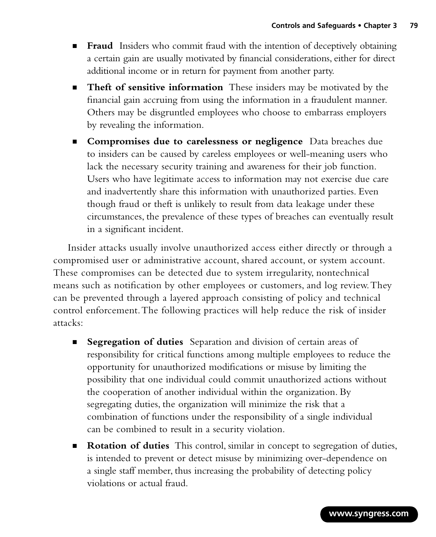- **Fraud** Insiders who commit fraud with the intention of deceptively obtaining a certain gain are usually motivated by financial considerations, either for direct additional income or in return for payment from another party.
- **Theft of sensitive information** These insiders may be motivated by the financial gain accruing from using the information in a fraudulent manner. Others may be disgruntled employees who choose to embarrass employers by revealing the information.
- **Compromises due to carelessness or negligence** Data breaches due to insiders can be caused by careless employees or well-meaning users who lack the necessary security training and awareness for their job function. Users who have legitimate access to information may not exercise due care and inadvertently share this information with unauthorized parties. Even though fraud or theft is unlikely to result from data leakage under these circumstances, the prevalence of these types of breaches can eventually result in a significant incident.

Insider attacks usually involve unauthorized access either directly or through a compromised user or administrative account, shared account, or system account. These compromises can be detected due to system irregularity, nontechnical means such as notification by other employees or customers, and log review. They can be prevented through a layered approach consisting of policy and technical control enforcement. The following practices will help reduce the risk of insider attacks:

- **Segregation of duties** Separation and division of certain areas of responsibility for critical functions among multiple employees to reduce the opportunity for unauthorized modifications or misuse by limiting the possibility that one individual could commit unauthorized actions without the cooperation of another individual within the organization. By segregating duties, the organization will minimize the risk that a combination of functions under the responsibility of a single individual can be combined to result in a security violation.
- **Rotation of duties** This control, similar in concept to segregation of duties, is intended to prevent or detect misuse by minimizing over-dependence on a single staff member, thus increasing the probability of detecting policy violations or actual fraud.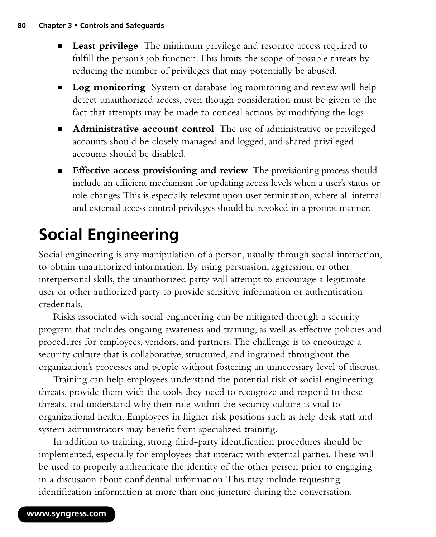- **Least privilege** The minimum privilege and resource access required to fulfill the person's job function. This limits the scope of possible threats by reducing the number of privileges that may potentially be abused.
- **Log monitoring** System or database log monitoring and review will help detect unauthorized access, even though consideration must be given to the fact that attempts may be made to conceal actions by modifying the logs.
- **Administrative account control** The use of administrative or privileged accounts should be closely managed and logged, and shared privileged accounts should be disabled.
- **Effective access provisioning and review** The provisioning process should include an efficient mechanism for updating access levels when a user's status or role changes. This is especially relevant upon user termination, where all internal and external access control privileges should be revoked in a prompt manner.

## **Social Engineering**

Social engineering is any manipulation of a person, usually through social interaction, to obtain unauthorized information. By using persuasion, aggression, or other interpersonal skills, the unauthorized party will attempt to encourage a legitimate user or other authorized party to provide sensitive information or authentication credentials.

Risks associated with social engineering can be mitigated through a security program that includes ongoing awareness and training, as well as effective policies and procedures for employees, vendors, and partners. The challenge is to encourage a security culture that is collaborative, structured, and ingrained throughout the organization's processes and people without fostering an unnecessary level of distrust.

Training can help employees understand the potential risk of social engineering threats, provide them with the tools they need to recognize and respond to these threats, and understand why their role within the security culture is vital to organizational health. Employees in higher risk positions such as help desk staff and system administrators may benefit from specialized training.

In addition to training, strong third-party identification procedures should be implemented, especially for employees that interact with external parties. These will be used to properly authenticate the identity of the other person prior to engaging in a discussion about confidential information. This may include requesting identification information at more than one juncture during the conversation.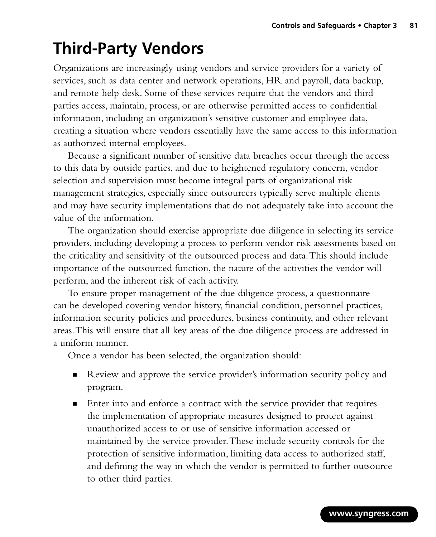## **Third-Party Vendors**

Organizations are increasingly using vendors and service providers for a variety of services, such as data center and network operations, HR and payroll, data backup, and remote help desk. Some of these services require that the vendors and third parties access, maintain, process, or are otherwise permitted access to confidential information, including an organization's sensitive customer and employee data, creating a situation where vendors essentially have the same access to this information as authorized internal employees.

Because a significant number of sensitive data breaches occur through the access to this data by outside parties, and due to heightened regulatory concern, vendor selection and supervision must become integral parts of organizational risk management strategies, especially since outsourcers typically serve multiple clients and may have security implementations that do not adequately take into account the value of the information.

The organization should exercise appropriate due diligence in selecting its service providers, including developing a process to perform vendor risk assessments based on the criticality and sensitivity of the outsourced process and data. This should include importance of the outsourced function, the nature of the activities the vendor will perform, and the inherent risk of each activity.

To ensure proper management of the due diligence process, a questionnaire can be developed covering vendor history, financial condition, personnel practices, information security policies and procedures, business continuity, and other relevant areas. This will ensure that all key areas of the due diligence process are addressed in a uniform manner.

Once a vendor has been selected, the organization should:

- Review and approve the service provider's information security policy and program.
- Enter into and enforce a contract with the service provider that requires the implementation of appropriate measures designed to protect against unauthorized access to or use of sensitive information accessed or maintained by the service provider. These include security controls for the protection of sensitive information, limiting data access to authorized staff, and defining the way in which the vendor is permitted to further outsource to other third parties.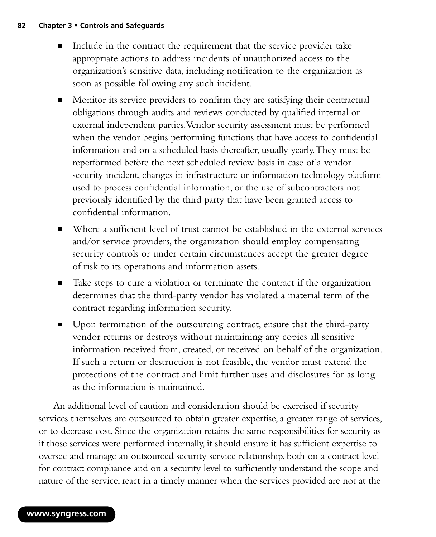#### **82 Chapter 3 • Controls and Safeguards**

- Include in the contract the requirement that the service provider take appropriate actions to address incidents of unauthorized access to the organization's sensitive data, including notification to the organization as soon as possible following any such incident.
- Monitor its service providers to confirm they are satisfying their contractual obligations through audits and reviews conducted by qualified internal or external independent parties. Vendor security assessment must be performed when the vendor begins performing functions that have access to confidential information and on a scheduled basis thereafter, usually yearly. They must be reperformed before the next scheduled review basis in case of a vendor security incident, changes in infrastructure or information technology platform used to process confidential information, or the use of subcontractors not previously identified by the third party that have been granted access to confi dential information.
- Where a sufficient level of trust cannot be established in the external services and/or service providers, the organization should employ compensating security controls or under certain circumstances accept the greater degree of risk to its operations and information assets.
- Take steps to cure a violation or terminate the contract if the organization determines that the third-party vendor has violated a material term of the contract regarding information security.
- Upon termination of the outsourcing contract, ensure that the third-party vendor returns or destroys without maintaining any copies all sensitive information received from, created, or received on behalf of the organization. If such a return or destruction is not feasible, the vendor must extend the protections of the contract and limit further uses and disclosures for as long as the information is maintained.

An additional level of caution and consideration should be exercised if security services themselves are outsourced to obtain greater expertise, a greater range of services, or to decrease cost. Since the organization retains the same responsibilities for security as if those services were performed internally, it should ensure it has sufficient expertise to oversee and manage an outsourced security service relationship, both on a contract level for contract compliance and on a security level to sufficiently understand the scope and nature of the service, react in a timely manner when the services provided are not at the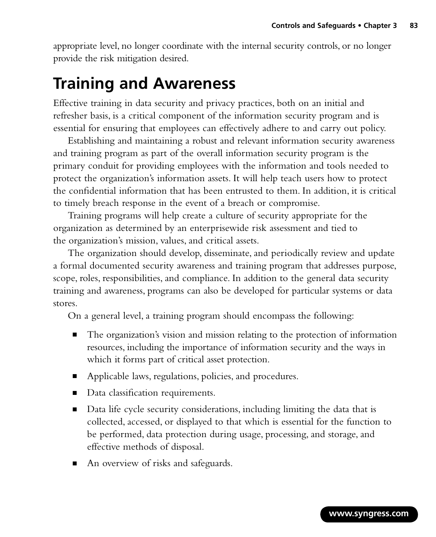appropriate level, no longer coordinate with the internal security controls, or no longer provide the risk mitigation desired.

### **Training and Awareness**

Effective training in data security and privacy practices, both on an initial and refresher basis, is a critical component of the information security program and is essential for ensuring that employees can effectively adhere to and carry out policy.

Establishing and maintaining a robust and relevant information security awareness and training program as part of the overall information security program is the primary conduit for providing employees with the information and tools needed to protect the organization's information assets. It will help teach users how to protect the confidential information that has been entrusted to them. In addition, it is critical to timely breach response in the event of a breach or compromise.

Training programs will help create a culture of security appropriate for the organization as determined by an enterprisewide risk assessment and tied to the organization's mission, values, and critical assets.

The organization should develop, disseminate, and periodically review and update a formal documented security awareness and training program that addresses purpose, scope, roles, responsibilities, and compliance. In addition to the general data security training and awareness, programs can also be developed for particular systems or data stores.

On a general level, a training program should encompass the following:

- The organization's vision and mission relating to the protection of information resources, including the importance of information security and the ways in which it forms part of critical asset protection.
- Applicable laws, regulations, policies, and procedures.
- Data classification requirements.
- Data life cycle security considerations, including limiting the data that is collected, accessed, or displayed to that which is essential for the function to be performed, data protection during usage, processing, and storage, and effective methods of disposal.
- An overview of risks and safeguards.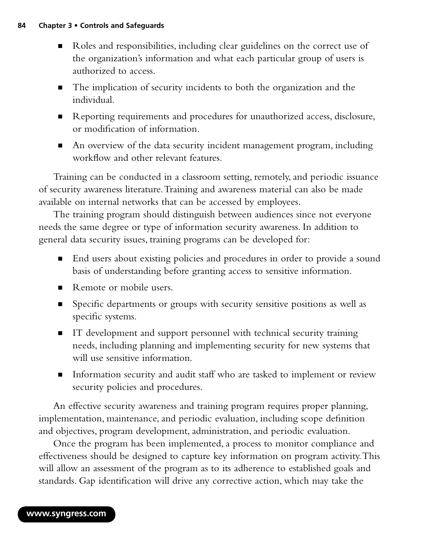- Roles and responsibilities, including clear guidelines on the correct use of the organization's information and what each particular group of users is authorized to access.
- The implication of security incidents to both the organization and the individual.
- Reporting requirements and procedures for unauthorized access, disclosure, or modification of information
- An overview of the data security incident management program, including workflow and other relevant features.

Training can be conducted in a classroom setting, remotely, and periodic issuance of security awareness literature. Training and awareness material can also be made available on internal networks that can be accessed by employees.

The training program should distinguish between audiences since not everyone needs the same degree or type of information security awareness. In addition to general data security issues, training programs can be developed for:

- End users about existing policies and procedures in order to provide a sound basis of understanding before granting access to sensitive information.
- Remote or mobile users.
- Specific departments or groups with security sensitive positions as well as specific systems.
- IT development and support personnel with technical security training needs, including planning and implementing security for new systems that will use sensitive information.
- Information security and audit staff who are tasked to implement or review security policies and procedures.

An effective security awareness and training program requires proper planning, implementation, maintenance, and periodic evaluation, including scope definition and objectives, program development, administration, and periodic evaluation.

Once the program has been implemented, a process to monitor compliance and effectiveness should be designed to capture key information on program activity. This will allow an assessment of the program as to its adherence to established goals and standards. Gap identification will drive any corrective action, which may take the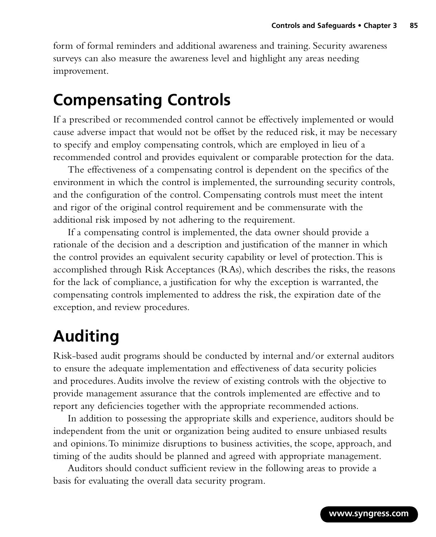form of formal reminders and additional awareness and training. Security awareness surveys can also measure the awareness level and highlight any areas needing improvement.

## **Compensating Controls**

If a prescribed or recommended control cannot be effectively implemented or would cause adverse impact that would not be offset by the reduced risk, it may be necessary to specify and employ compensating controls, which are employed in lieu of a recommended control and provides equivalent or comparable protection for the data.

The effectiveness of a compensating control is dependent on the specifics of the environment in which the control is implemented, the surrounding security controls, and the configuration of the control. Compensating controls must meet the intent and rigor of the original control requirement and be commensurate with the additional risk imposed by not adhering to the requirement.

If a compensating control is implemented, the data owner should provide a rationale of the decision and a description and justification of the manner in which the control provides an equivalent security capability or level of protection. This is accomplished through Risk Acceptances (RAs), which describes the risks, the reasons for the lack of compliance, a justification for why the exception is warranted, the compensating controls implemented to address the risk, the expiration date of the exception, and review procedures.

## **Auditing**

Risk-based audit programs should be conducted by internal and/or external auditors to ensure the adequate implementation and effectiveness of data security policies and procedures. Audits involve the review of existing controls with the objective to provide management assurance that the controls implemented are effective and to report any deficiencies together with the appropriate recommended actions.

In addition to possessing the appropriate skills and experience, auditors should be independent from the unit or organization being audited to ensure unbiased results and opinions. To minimize disruptions to business activities, the scope, approach, and timing of the audits should be planned and agreed with appropriate management.

Auditors should conduct sufficient review in the following areas to provide a basis for evaluating the overall data security program.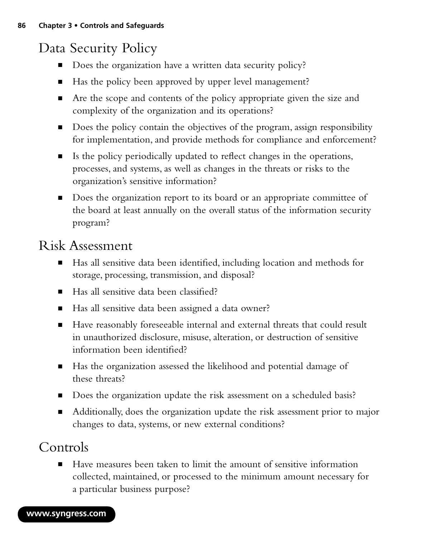#### Data Security Policy

- Does the organization have a written data security policy?
- Has the policy been approved by upper level management?
- Are the scope and contents of the policy appropriate given the size and complexity of the organization and its operations?
- Does the policy contain the objectives of the program, assign responsibility for implementation, and provide methods for compliance and enforcement?
- Is the policy periodically updated to reflect changes in the operations, processes, and systems, as well as changes in the threats or risks to the organization's sensitive information?
- Does the organization report to its board or an appropriate committee of the board at least annually on the overall status of the information security program?

#### Risk Assessment

- Has all sensitive data been identified, including location and methods for storage, processing, transmission, and disposal?
- $\blacksquare$  Has all sensitive data been classified?
- Has all sensitive data been assigned a data owner?
- Have reasonably foreseeable internal and external threats that could result in unauthorized disclosure, misuse, alteration, or destruction of sensitive information been identified?
- Has the organization assessed the likelihood and potential damage of these threats?
- Does the organization update the risk assessment on a scheduled basis?
- Additionally, does the organization update the risk assessment prior to major changes to data, systems, or new external conditions?

#### Controls

■ Have measures been taken to limit the amount of sensitive information collected, maintained, or processed to the minimum amount necessary for a particular business purpose?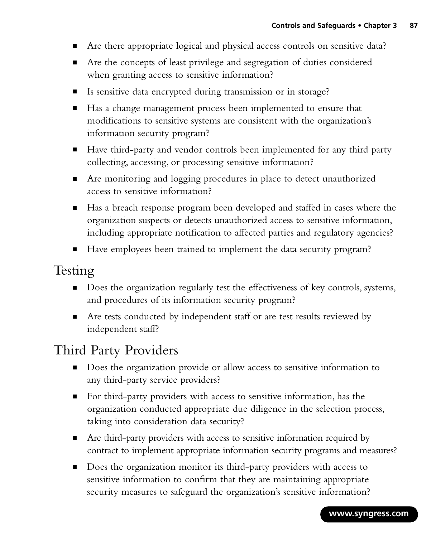- Are there appropriate logical and physical access controls on sensitive data?
- Are the concepts of least privilege and segregation of duties considered when granting access to sensitive information?
- Is sensitive data encrypted during transmission or in storage?
- Has a change management process been implemented to ensure that modifications to sensitive systems are consistent with the organization's information security program?
- Have third-party and vendor controls been implemented for any third party collecting, accessing, or processing sensitive information?
- Are monitoring and logging procedures in place to detect unauthorized access to sensitive information?
- Has a breach response program been developed and staffed in cases where the organization suspects or detects unauthorized access to sensitive information, including appropriate notification to affected parties and regulatory agencies?
- Have employees been trained to implement the data security program?

#### Testing

- Does the organization regularly test the effectiveness of key controls, systems, and procedures of its information security program?
- Are tests conducted by independent staff or are test results reviewed by independent staff?

#### Third Party Providers

- Does the organization provide or allow access to sensitive information to any third-party service providers?
- For third-party providers with access to sensitive information, has the organization conducted appropriate due diligence in the selection process, taking into consideration data security?
- Are third-party providers with access to sensitive information required by contract to implement appropriate information security programs and measures?
- Does the organization monitor its third-party providers with access to sensitive information to confirm that they are maintaining appropriate security measures to safeguard the organization's sensitive information?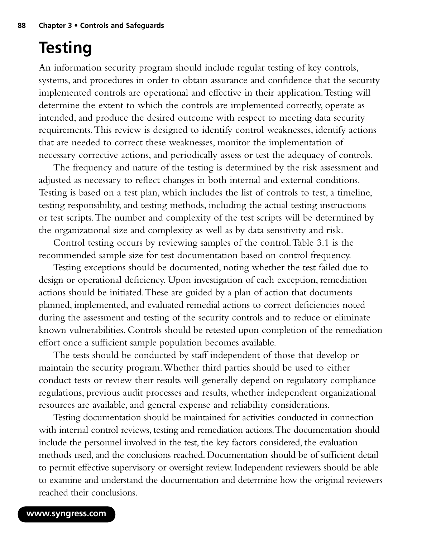## **Testing**

An information security program should include regular testing of key controls, systems, and procedures in order to obtain assurance and confidence that the security implemented controls are operational and effective in their application. Testing will determine the extent to which the controls are implemented correctly, operate as intended, and produce the desired outcome with respect to meeting data security requirements. This review is designed to identify control weaknesses, identify actions that are needed to correct these weaknesses, monitor the implementation of necessary corrective actions, and periodically assess or test the adequacy of controls.

The frequency and nature of the testing is determined by the risk assessment and adjusted as necessary to reflect changes in both internal and external conditions. Testing is based on a test plan, which includes the list of controls to test, a timeline, testing responsibility, and testing methods, including the actual testing instructions or test scripts. The number and complexity of the test scripts will be determined by the organizational size and complexity as well as by data sensitivity and risk.

Control testing occurs by reviewing samples of the control. Table 3.1 is the recommended sample size for test documentation based on control frequency.

Testing exceptions should be documented, noting whether the test failed due to design or operational deficiency. Upon investigation of each exception, remediation actions should be initiated. These are guided by a plan of action that documents planned, implemented, and evaluated remedial actions to correct deficiencies noted during the assessment and testing of the security controls and to reduce or eliminate known vulnerabilities. Controls should be retested upon completion of the remediation effort once a sufficient sample population becomes available.

The tests should be conducted by staff independent of those that develop or maintain the security program. Whether third parties should be used to either conduct tests or review their results will generally depend on regulatory compliance regulations, previous audit processes and results, whether independent organizational resources are available, and general expense and reliability considerations.

Testing documentation should be maintained for activities conducted in connection with internal control reviews, testing and remediation actions. The documentation should include the personnel involved in the test, the key factors considered, the evaluation methods used, and the conclusions reached. Documentation should be of sufficient detail to permit effective supervisory or oversight review. Independent reviewers should be able to examine and understand the documentation and determine how the original reviewers reached their conclusions.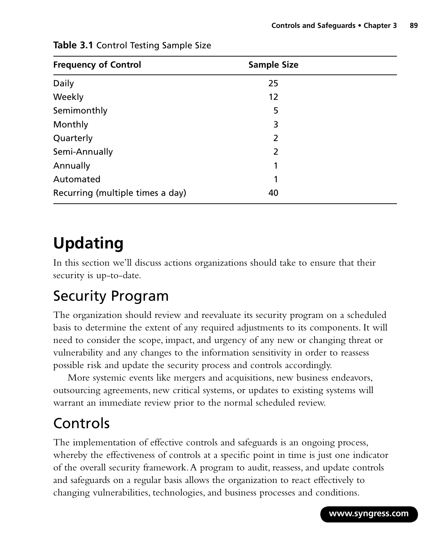| <b>Frequency of Control</b>      | <b>Sample Size</b> |  |
|----------------------------------|--------------------|--|
| Daily                            | 25                 |  |
| Weekly                           | 12                 |  |
| Semimonthly                      | 5                  |  |
| Monthly                          | 3                  |  |
| Quarterly                        | $\overline{2}$     |  |
| Semi-Annually                    | $\overline{2}$     |  |
| Annually                         | 1                  |  |
| Automated                        | 1                  |  |
| Recurring (multiple times a day) | 40                 |  |

#### **Table 3.1** Control Testing Sample Size

## **Updating**

In this section we'll discuss actions organizations should take to ensure that their security is up-to-date.

## Security Program

The organization should review and reevaluate its security program on a scheduled basis to determine the extent of any required adjustments to its components. It will need to consider the scope, impact, and urgency of any new or changing threat or vulnerability and any changes to the information sensitivity in order to reassess possible risk and update the security process and controls accordingly.

More systemic events like mergers and acquisitions, new business endeavors, outsourcing agreements, new critical systems, or updates to existing systems will warrant an immediate review prior to the normal scheduled review.

## Controls

The implementation of effective controls and safeguards is an ongoing process, whereby the effectiveness of controls at a specific point in time is just one indicator of the overall security framework. A program to audit, reassess, and update controls and safeguards on a regular basis allows the organization to react effectively to changing vulnerabilities, technologies, and business processes and conditions.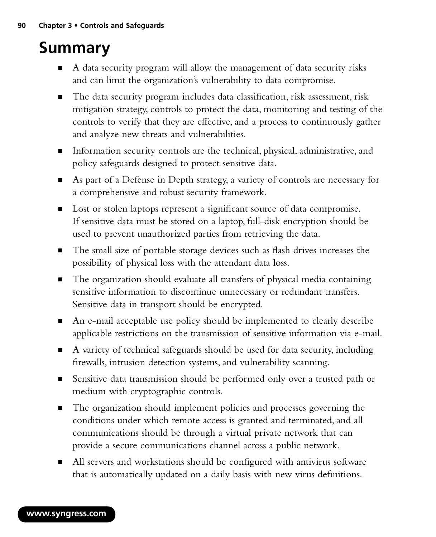## **Summary**

- A data security program will allow the management of data security risks and can limit the organization's vulnerability to data compromise.
- The data security program includes data classification, risk assessment, risk mitigation strategy, controls to protect the data, monitoring and testing of the controls to verify that they are effective, and a process to continuously gather and analyze new threats and vulnerabilities.
- Information security controls are the technical, physical, administrative, and policy safeguards designed to protect sensitive data.
- As part of a Defense in Depth strategy, a variety of controls are necessary for a comprehensive and robust security framework.
- Lost or stolen laptops represent a significant source of data compromise. If sensitive data must be stored on a laptop, full-disk encryption should be used to prevent unauthorized parties from retrieving the data.
- The small size of portable storage devices such as flash drives increases the possibility of physical loss with the attendant data loss.
- The organization should evaluate all transfers of physical media containing sensitive information to discontinue unnecessary or redundant transfers. Sensitive data in transport should be encrypted.
- An e-mail acceptable use policy should be implemented to clearly describe applicable restrictions on the transmission of sensitive information via e-mail.
- A variety of technical safeguards should be used for data security, including firewalls, intrusion detection systems, and vulnerability scanning.
- Sensitive data transmission should be performed only over a trusted path or medium with cryptographic controls.
- The organization should implement policies and processes governing the conditions under which remote access is granted and terminated, and all communications should be through a virtual private network that can provide a secure communications channel across a public network.
- All servers and workstations should be configured with antivirus software that is automatically updated on a daily basis with new virus definitions.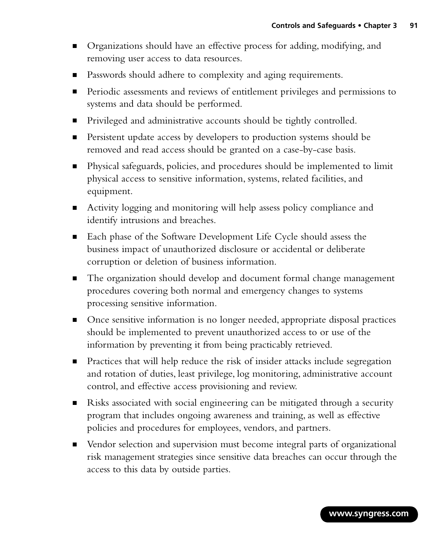- Organizations should have an effective process for adding, modifying, and removing user access to data resources.
- Passwords should adhere to complexity and aging requirements.
- Periodic assessments and reviews of entitlement privileges and permissions to systems and data should be performed.
- Privileged and administrative accounts should be tightly controlled.
- Persistent update access by developers to production systems should be removed and read access should be granted on a case-by-case basis.
- Physical safeguards, policies, and procedures should be implemented to limit physical access to sensitive information, systems, related facilities, and equipment.
- Activity logging and monitoring will help assess policy compliance and identify intrusions and breaches.
- Each phase of the Software Development Life Cycle should assess the business impact of unauthorized disclosure or accidental or deliberate corruption or deletion of business information.
- The organization should develop and document formal change management procedures covering both normal and emergency changes to systems processing sensitive information.
- Once sensitive information is no longer needed, appropriate disposal practices should be implemented to prevent unauthorized access to or use of the information by preventing it from being practicably retrieved.
- Practices that will help reduce the risk of insider attacks include segregation and rotation of duties, least privilege, log monitoring, administrative account control, and effective access provisioning and review.
- Risks associated with social engineering can be mitigated through a security program that includes ongoing awareness and training, as well as effective policies and procedures for employees, vendors, and partners.
- Vendor selection and supervision must become integral parts of organizational risk management strategies since sensitive data breaches can occur through the access to this data by outside parties.